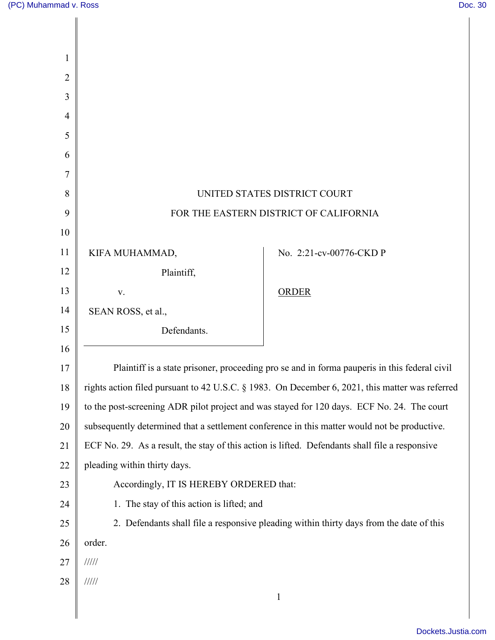| UNITED STATES DISTRICT COURT                                                                    |                                                                                         |
|-------------------------------------------------------------------------------------------------|-----------------------------------------------------------------------------------------|
| FOR THE EASTERN DISTRICT OF CALIFORNIA                                                          |                                                                                         |
|                                                                                                 |                                                                                         |
| KIFA MUHAMMAD,                                                                                  | No. 2:21-cv-00776-CKD P                                                                 |
| Plaintiff,                                                                                      |                                                                                         |
| V.                                                                                              | <b>ORDER</b>                                                                            |
| SEAN ROSS, et al.,                                                                              |                                                                                         |
| Defendants.                                                                                     |                                                                                         |
|                                                                                                 |                                                                                         |
| Plaintiff is a state prisoner, proceeding pro se and in forma pauperis in this federal civil    |                                                                                         |
| rights action filed pursuant to 42 U.S.C. § 1983. On December 6, 2021, this matter was referred |                                                                                         |
| to the post-screening ADR pilot project and was stayed for 120 days. ECF No. 24. The court      |                                                                                         |
| subsequently determined that a settlement conference in this matter would not be productive.    |                                                                                         |
| ECF No. 29. As a result, the stay of this action is lifted. Defendants shall file a responsive  |                                                                                         |
| pleading within thirty days.                                                                    |                                                                                         |
| Accordingly, IT IS HEREBY ORDERED that:                                                         |                                                                                         |
| 1. The stay of this action is lifted; and                                                       |                                                                                         |
|                                                                                                 | 2. Defendants shall file a responsive pleading within thirty days from the date of this |
| order.                                                                                          |                                                                                         |
| 11111                                                                                           |                                                                                         |
| 11111                                                                                           |                                                                                         |
|                                                                                                 | $\mathbf{1}$                                                                            |
|                                                                                                 |                                                                                         |